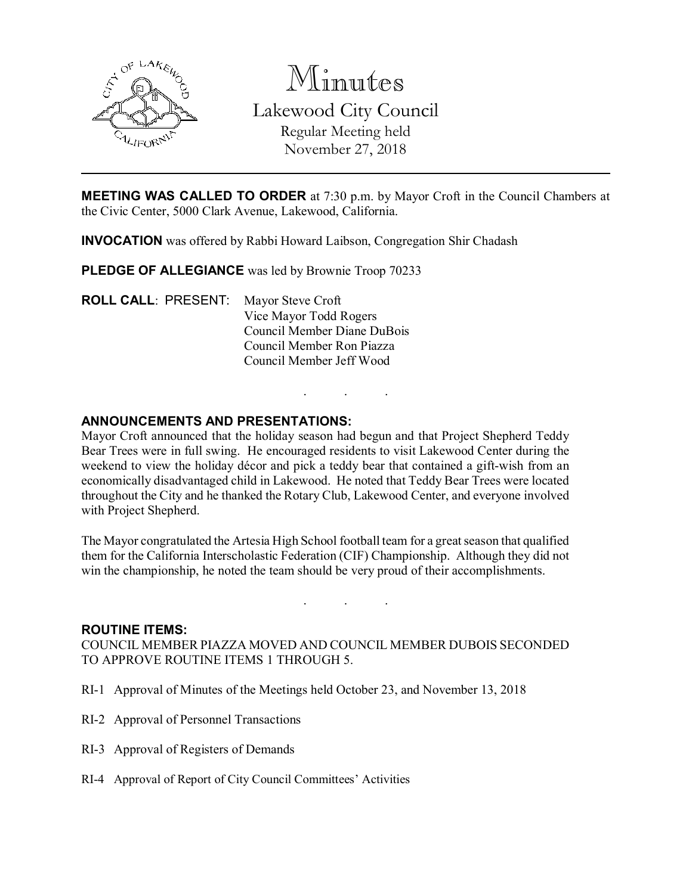

Minutes Lakewood City Council Regular Meeting held November 27, 2018

MEETING WAS CALLED TO ORDER at 7:30 p.m. by Mayor Croft in the Council Chambers at the Civic Center, 5000 Clark Avenue, Lakewood, California.

INVOCATION was offered by Rabbi Howard Laibson, Congregation Shir Chadash

PLEDGE OF ALLEGIANCE was led by Brownie Troop 70233

ROLL CALL: PRESENT: Mayor Steve Croft Vice Mayor Todd Rogers Council Member Diane DuBois Council Member Ron Piazza Council Member Jeff Wood

# ANNOUNCEMENTS AND PRESENTATIONS:

Mayor Croft announced that the holiday season had begun and that Project Shepherd Teddy Bear Trees were in full swing. He encouraged residents to visit Lakewood Center during the weekend to view the holiday décor and pick a teddy bear that contained a gift-wish from an economically disadvantaged child in Lakewood. He noted that Teddy Bear Trees were located throughout the City and he thanked the Rotary Club, Lakewood Center, and everyone involved with Project Shepherd.

. . .

The Mayor congratulated the Artesia High School football team for a great season that qualified them for the California Interscholastic Federation (CIF) Championship. Although they did not win the championship, he noted the team should be very proud of their accomplishments.

. . .

## ROUTINE ITEMS:

COUNCIL MEMBER PIAZZA MOVED AND COUNCIL MEMBER DUBOIS SECONDED TO APPROVE ROUTINE ITEMS 1 THROUGH 5.

- RI-1 Approval of Minutes of the Meetings held October 23, and November 13, 2018
- RI-2 Approval of Personnel Transactions
- RI-3 Approval of Registers of Demands
- RI-4 Approval of Report of City Council Committees' Activities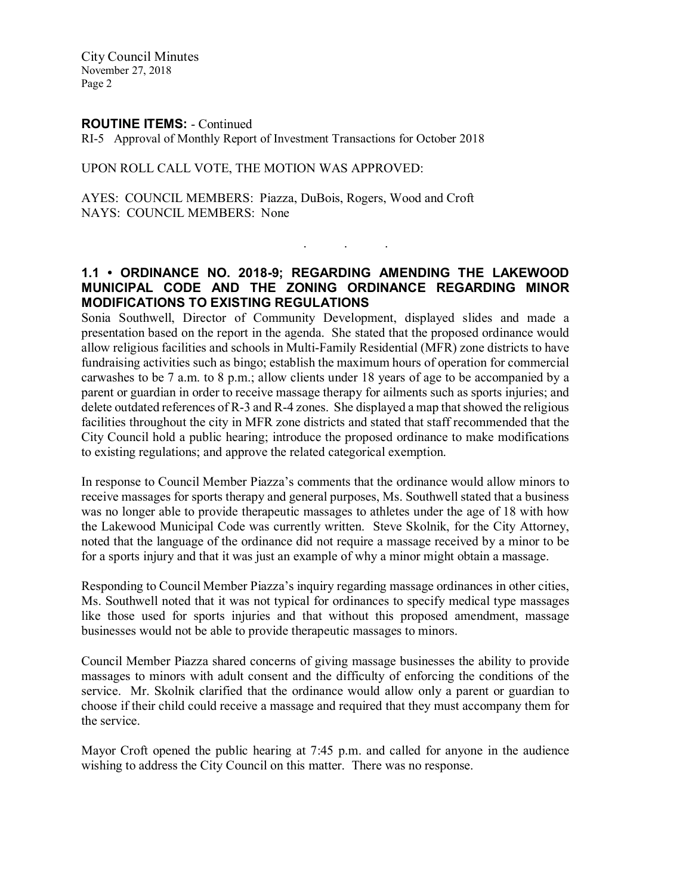City Council Minutes November 27, 2018 Page 2

#### ROUTINE ITEMS: - Continued

RI-5 Approval of Monthly Report of Investment Transactions for October 2018

## UPON ROLL CALL VOTE, THE MOTION WAS APPROVED:

AYES: COUNCIL MEMBERS: Piazza, DuBois, Rogers, Wood and Croft NAYS: COUNCIL MEMBERS: None

# 1.1 • ORDINANCE NO. 2018-9; REGARDING AMENDING THE LAKEWOOD MUNICIPAL CODE AND THE ZONING ORDINANCE REGARDING MINOR MODIFICATIONS TO EXISTING REGULATIONS

. . .

Sonia Southwell, Director of Community Development, displayed slides and made a presentation based on the report in the agenda. She stated that the proposed ordinance would allow religious facilities and schools in Multi-Family Residential (MFR) zone districts to have fundraising activities such as bingo; establish the maximum hours of operation for commercial carwashes to be 7 a.m. to 8 p.m.; allow clients under 18 years of age to be accompanied by a parent or guardian in order to receive massage therapy for ailments such as sports injuries; and delete outdated references of R-3 and R-4 zones. She displayed a map that showed the religious facilities throughout the city in MFR zone districts and stated that staff recommended that the City Council hold a public hearing; introduce the proposed ordinance to make modifications to existing regulations; and approve the related categorical exemption.

In response to Council Member Piazza's comments that the ordinance would allow minors to receive massages for sports therapy and general purposes, Ms. Southwell stated that a business was no longer able to provide therapeutic massages to athletes under the age of 18 with how the Lakewood Municipal Code was currently written. Steve Skolnik, for the City Attorney, noted that the language of the ordinance did not require a massage received by a minor to be for a sports injury and that it was just an example of why a minor might obtain a massage.

Responding to Council Member Piazza's inquiry regarding massage ordinances in other cities, Ms. Southwell noted that it was not typical for ordinances to specify medical type massages like those used for sports injuries and that without this proposed amendment, massage businesses would not be able to provide therapeutic massages to minors.

Council Member Piazza shared concerns of giving massage businesses the ability to provide massages to minors with adult consent and the difficulty of enforcing the conditions of the service. Mr. Skolnik clarified that the ordinance would allow only a parent or guardian to choose if their child could receive a massage and required that they must accompany them for the service.

Mayor Croft opened the public hearing at 7:45 p.m. and called for anyone in the audience wishing to address the City Council on this matter. There was no response.